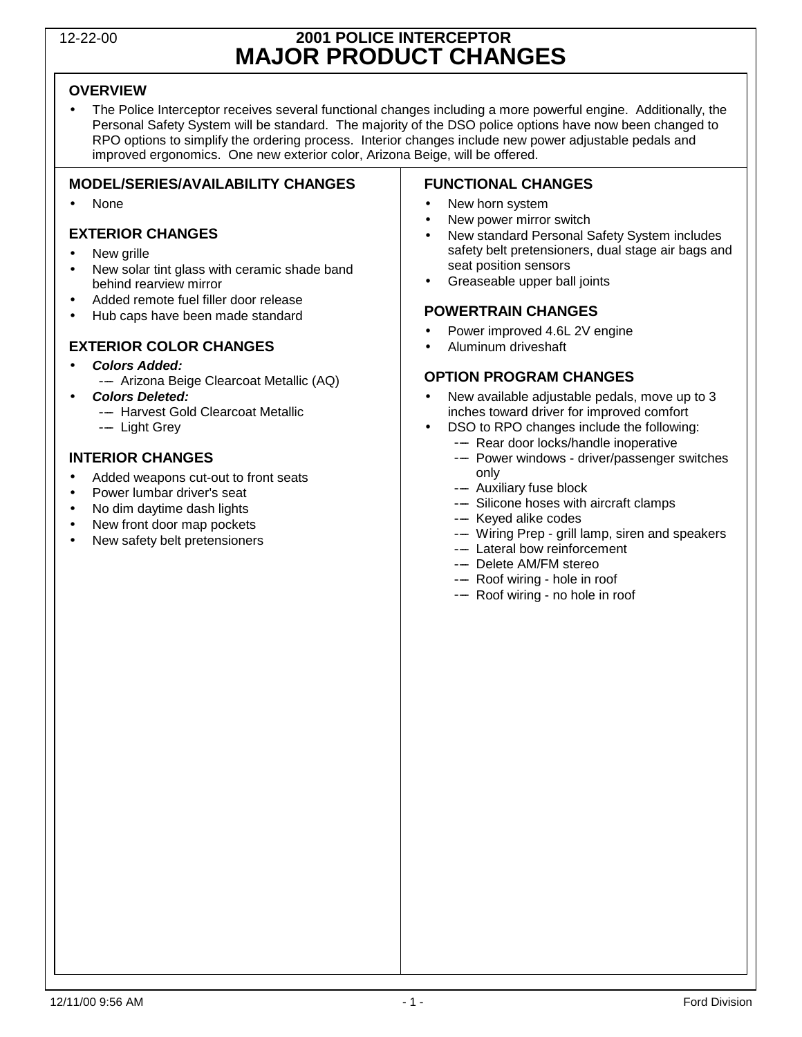## 12-22-00 **2001 POLICE INTERCEPTOR MAJOR PRODUCT CHANGES**

### **OVERVIEW**

• The Police Interceptor receives several functional changes including a more powerful engine. Additionally, the Personal Safety System will be standard. The majority of the DSO police options have now been changed to RPO options to simplify the ordering process. Interior changes include new power adjustable pedals and improved ergonomics. One new exterior color, Arizona Beige, will be offered.

### **MODEL/SERIES/AVAILABILITY CHANGES**

• None

### **EXTERIOR CHANGES**

- New grille
- New solar tint glass with ceramic shade band behind rearview mirror
- Added remote fuel filler door release
- Hub caps have been made standard

### **EXTERIOR COLOR CHANGES**

- **Colors Added:**
	- Arizona Beige Clearcoat Metallic (AQ)
- **Colors Deleted:**
	- -- Harvest Gold Clearcoat Metallic
	- Light Grev

### **INTERIOR CHANGES**

- Added weapons cut-out to front seats
- Power lumbar driver's seat
- No dim daytime dash lights
- New front door map pockets
- New safety belt pretensioners

### **FUNCTIONAL CHANGES**

- New horn system
- New power mirror switch
- New standard Personal Safety System includes safety belt pretensioners, dual stage air bags and seat position sensors
- Greaseable upper ball joints

### **POWERTRAIN CHANGES**

- Power improved 4.6L 2V engine
- Aluminum driveshaft

### **OPTION PROGRAM CHANGES**

- New available adjustable pedals, move up to 3 inches toward driver for improved comfort
- DSO to RPO changes include the following:
	- ---- Rear door locks/handle inoperative ---- Power windows - driver/passenger switches
	- only
	- Auxiliary fuse block
	- ---- Silicone hoses with aircraft clamps
	- Keyed alike codes
	- --- Wiring Prep grill lamp, siren and speakers
	- Lateral bow reinforcement
	- -- Delete AM/FM stereo
	- ---- Roof wiring hole in roof
	- ---- Roof wiring no hole in roof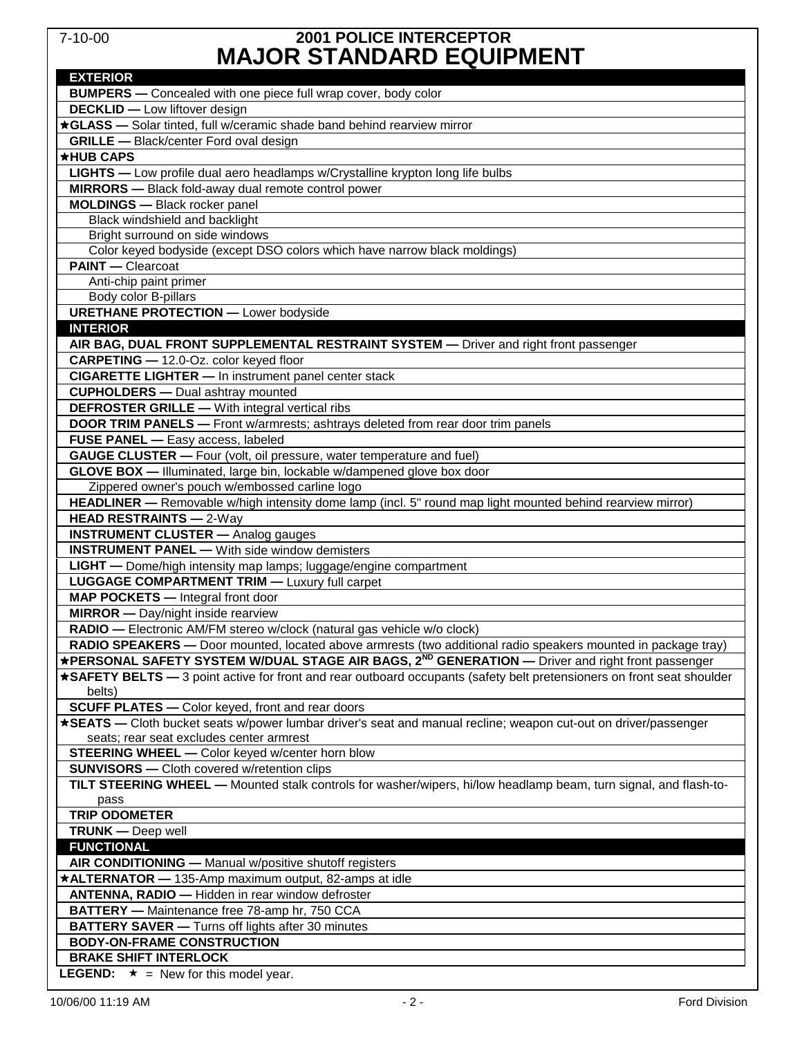### 7-10-00 **2001 POLICE INTERCEPTOR MAJOR STANDARD EQUIPMENT**

| INAVVIN UTANUANU LQVII INLINI                                                                                          |
|------------------------------------------------------------------------------------------------------------------------|
| <b>EXTERIOR</b>                                                                                                        |
| <b>BUMPERS</b> - Concealed with one piece full wrap cover, body color                                                  |
| <b>DECKLID</b> - Low liftover design                                                                                   |
| *GLASS - Solar tinted, full w/ceramic shade band behind rearview mirror                                                |
| <b>GRILLE</b> - Black/center Ford oval design                                                                          |
| *HUB CAPS                                                                                                              |
| <b>LIGHTS</b> - Low profile dual aero headlamps w/Crystalline krypton long life bulbs                                  |
| <b>MIRRORS</b> - Black fold-away dual remote control power                                                             |
| <b>MOLDINGS</b> - Black rocker panel                                                                                   |
| Black windshield and backlight                                                                                         |
| Bright surround on side windows                                                                                        |
| Color keyed bodyside (except DSO colors which have narrow black moldings)                                              |
| <b>PAINT</b> - Clearcoat                                                                                               |
| Anti-chip paint primer                                                                                                 |
| Body color B-pillars                                                                                                   |
| <b>URETHANE PROTECTION - Lower bodyside</b>                                                                            |
| <b>INTERIOR</b>                                                                                                        |
| AIR BAG, DUAL FRONT SUPPLEMENTAL RESTRAINT SYSTEM - Driver and right front passenger                                   |
| CARPETING - 12.0-Oz. color keyed floor                                                                                 |
| <b>CIGARETTE LIGHTER - In instrument panel center stack</b>                                                            |
| <b>CUPHOLDERS</b> - Dual ashtray mounted                                                                               |
| <b>DEFROSTER GRILLE - With integral vertical ribs</b>                                                                  |
| DOOR TRIM PANELS - Front w/armrests; ashtrays deleted from rear door trim panels                                       |
| FUSE PANEL - Easy access, labeled                                                                                      |
| GAUGE CLUSTER - Four (volt, oil pressure, water temperature and fuel)                                                  |
| GLOVE BOX - Illuminated, large bin, lockable w/dampened glove box door                                                 |
| Zippered owner's pouch w/embossed carline logo                                                                         |
| HEADLINER - Removable w/high intensity dome lamp (incl. 5" round map light mounted behind rearview mirror)             |
| <b>HEAD RESTRAINTS - 2-Way</b>                                                                                         |
| <b>INSTRUMENT CLUSTER</b> - Analog gauges                                                                              |
| <b>INSTRUMENT PANEL - With side window demisters</b>                                                                   |
| <b>LIGHT</b> — Dome/high intensity map lamps; luggage/engine compartment                                               |
| <b>LUGGAGE COMPARTMENT TRIM - Luxury full carpet</b>                                                                   |
| MAP POCKETS - Integral front door                                                                                      |
| <b>MIRROR</b> - Day/night inside rearview                                                                              |
| RADIO - Electronic AM/FM stereo w/clock (natural gas vehicle w/o clock)                                                |
| RADIO SPEAKERS - Door mounted, located above armrests (two additional radio speakers mounted in package tray)          |
| *PERSONAL SAFETY SYSTEM W/DUAL STAGE AIR BAGS, 2 <sup>ND</sup> GENERATION — Driver and right front passenger           |
| *SAFETY BELTS - 3 point active for front and rear outboard occupants (safety belt pretensioners on front seat shoulder |
| belts)                                                                                                                 |
| <b>SCUFF PLATES -</b> Color keyed, front and rear doors                                                                |
| *SEATS - Cloth bucket seats w/power lumbar driver's seat and manual recline; weapon cut-out on driver/passenger        |
| seats; rear seat excludes center armrest                                                                               |
| <b>STEERING WHEEL -</b> Color keyed w/center horn blow                                                                 |
| <b>SUNVISORS</b> - Cloth covered w/retention clips                                                                     |
| TILT STEERING WHEEL - Mounted stalk controls for washer/wipers, hi/low headlamp beam, turn signal, and flash-to-       |
| pass                                                                                                                   |
| <b>TRIP ODOMETER</b>                                                                                                   |
| <b>TRUNK</b> - Deep well                                                                                               |
| <b>FUNCTIONAL</b>                                                                                                      |
| AIR CONDITIONING - Manual w/positive shutoff registers                                                                 |
| *ALTERNATOR - 135-Amp maximum output, 82-amps at idle                                                                  |
| ANTENNA, RADIO - Hidden in rear window defroster                                                                       |
| BATTERY - Maintenance free 78-amp hr, 750 CCA                                                                          |
| <b>BATTERY SAVER</b> - Turns off lights after 30 minutes                                                               |
| <b>BODY-ON-FRAME CONSTRUCTION</b>                                                                                      |
| <b>BRAKE SHIFT INTERLOCK</b>                                                                                           |
| <b>LEGEND:</b> $\star$ = New for this model year.                                                                      |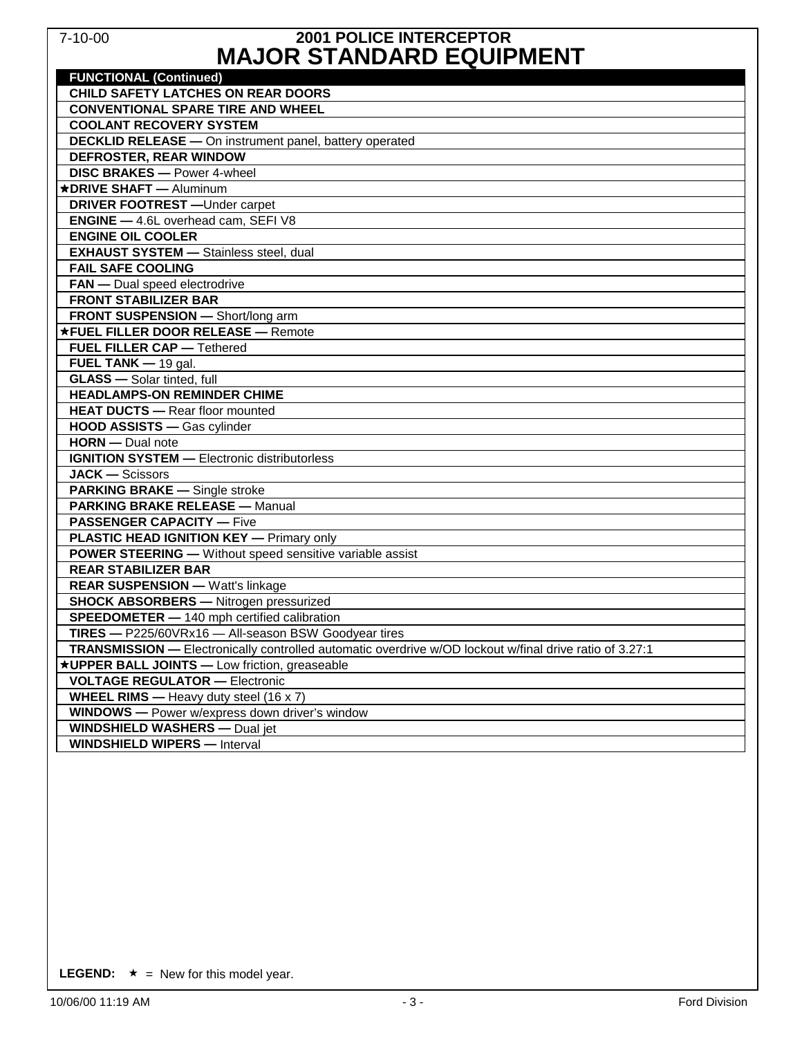### 7-10-00 **2001 POLICE INTERCEPTOR MAJOR STANDARD EQUIPMENT**

| KIAVVIN VIANDAND LQVII MENI                                                                             |
|---------------------------------------------------------------------------------------------------------|
| <b>FUNCTIONAL (Continued)</b>                                                                           |
| <b>CHILD SAFETY LATCHES ON REAR DOORS</b>                                                               |
| <b>CONVENTIONAL SPARE TIRE AND WHEEL</b>                                                                |
| <b>COOLANT RECOVERY SYSTEM</b>                                                                          |
| <b>DECKLID RELEASE - On instrument panel, battery operated</b>                                          |
| DEFROSTER, REAR WINDOW<br><b>DISC BRAKES - Power 4-wheel</b>                                            |
|                                                                                                         |
| *DRIVE SHAFT - Aluminum                                                                                 |
| <b>DRIVER FOOTREST</b> - Under carpet                                                                   |
| <b>ENGINE</b> - 4.6L overhead cam, SEFI V8                                                              |
| <b>ENGINE OIL COOLER</b>                                                                                |
| <b>EXHAUST SYSTEM - Stainless steel, dual</b>                                                           |
| <b>FAIL SAFE COOLING</b>                                                                                |
| <b>FAN</b> - Dual speed electrodrive                                                                    |
| <b>FRONT STABILIZER BAR</b>                                                                             |
| FRONT SUSPENSION - Short/long arm                                                                       |
| *FUEL FILLER DOOR RELEASE - Remote                                                                      |
| <b>FUEL FILLER CAP - Tethered</b>                                                                       |
| FUEL TANK $-$ 19 gal.                                                                                   |
| <b>GLASS</b> - Solar tinted, full                                                                       |
| <b>HEADLAMPS-ON REMINDER CHIME</b>                                                                      |
| <b>HEAT DUCTS - Rear floor mounted</b>                                                                  |
| HOOD ASSISTS - Gas cylinder                                                                             |
| HORN - Dual note                                                                                        |
| <b>IGNITION SYSTEM - Electronic distributorless</b>                                                     |
| <b>JACK - Scissors</b>                                                                                  |
| <b>PARKING BRAKE - Single stroke</b>                                                                    |
| <b>PARKING BRAKE RELEASE - Manual</b>                                                                   |
| <b>PASSENGER CAPACITY — Five</b>                                                                        |
| <b>PLASTIC HEAD IGNITION KEY - Primary only</b>                                                         |
| <b>POWER STEERING - Without speed sensitive variable assist</b>                                         |
| <b>REAR STABILIZER BAR</b>                                                                              |
| <b>REAR SUSPENSION - Watt's linkage</b>                                                                 |
| <b>SHOCK ABSORBERS</b> - Nitrogen pressurized                                                           |
| <b>SPEEDOMETER</b> - 140 mph certified calibration                                                      |
| TIRES - P225/60VRx16 - All-season BSW Goodyear tires                                                    |
| TRANSMISSION - Electronically controlled automatic overdrive w/OD lockout w/final drive ratio of 3.27:1 |
| *UPPER BALL JOINTS - Low friction, greaseable                                                           |
| <b>VOLTAGE REGULATOR - Electronic</b>                                                                   |
| <b>WHEEL RIMS</b> - Heavy duty steel (16 x 7)                                                           |
| WINDOWS - Power w/express down driver's window                                                          |
| <b>WINDSHIELD WASHERS - Dual jet</b>                                                                    |
| <b>WINDSHIELD WIPERS - Interval</b>                                                                     |
|                                                                                                         |

**LEGEND:**  $\star$  = New for this model year.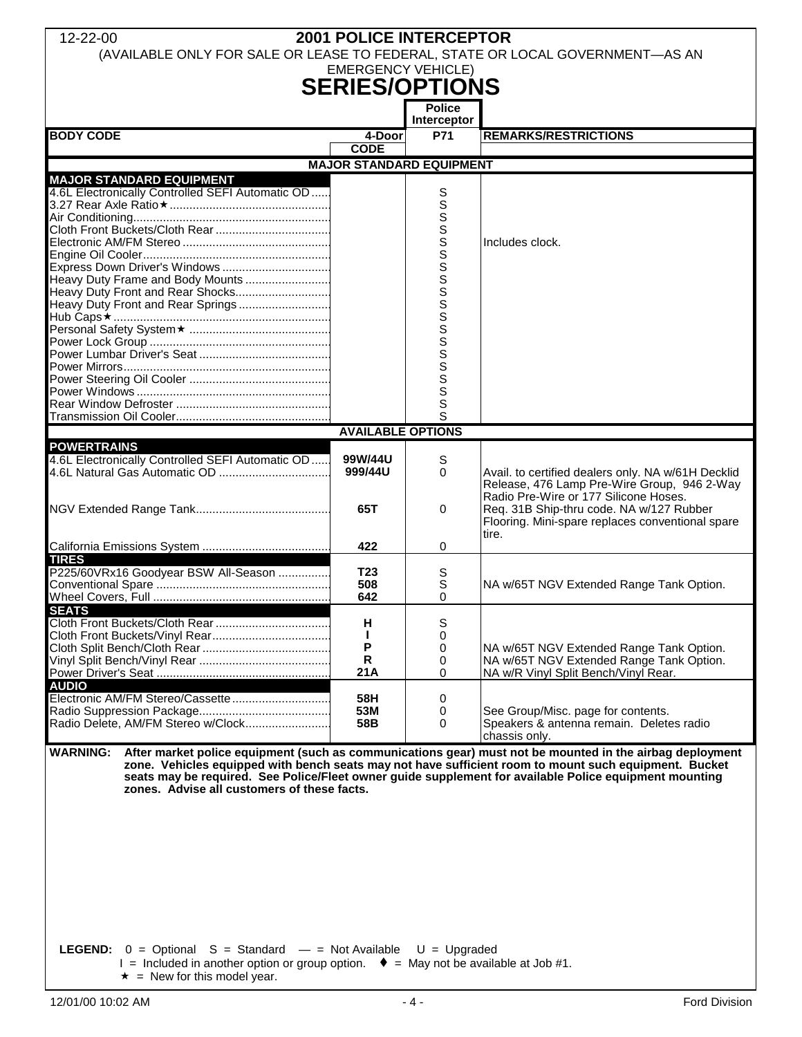| 12-22-00                                                                                                          | <b>2001 POLICE INTERCEPTOR</b>  |                      |                                                                                                        |
|-------------------------------------------------------------------------------------------------------------------|---------------------------------|----------------------|--------------------------------------------------------------------------------------------------------|
| (AVAILABLE ONLY FOR SALE OR LEASE TO FEDERAL, STATE OR LOCAL GOVERNMENT-AS AN                                     |                                 |                      |                                                                                                        |
|                                                                                                                   | <b>EMERGENCY VEHICLE)</b>       |                      |                                                                                                        |
|                                                                                                                   | <b>SERIES/OPTIONS</b>           |                      |                                                                                                        |
|                                                                                                                   |                                 | <b>Police</b>        |                                                                                                        |
|                                                                                                                   |                                 | Interceptor          |                                                                                                        |
| <b>BODY CODE</b>                                                                                                  | 4-Door                          | <b>P71</b>           | <b>REMARKS/RESTRICTIONS</b>                                                                            |
|                                                                                                                   | <b>CODE</b>                     |                      |                                                                                                        |
|                                                                                                                   | <b>MAJOR STANDARD EQUIPMENT</b> |                      |                                                                                                        |
| <b>MAJOR STANDARD EQUIPMENT</b><br>4.6L Electronically Controlled SEFI Automatic OD                               |                                 |                      |                                                                                                        |
|                                                                                                                   |                                 | S<br>S               |                                                                                                        |
|                                                                                                                   |                                 |                      |                                                                                                        |
|                                                                                                                   |                                 |                      |                                                                                                        |
|                                                                                                                   |                                 |                      | Includes clock.                                                                                        |
|                                                                                                                   |                                 | <b>WWWWWWWWWWWWW</b> |                                                                                                        |
| Heavy Duty Frame and Body Mounts                                                                                  |                                 |                      |                                                                                                        |
| Heavy Duty Front and Rear Shocks                                                                                  |                                 |                      |                                                                                                        |
| Heavy Duty Front and Rear Springs                                                                                 |                                 |                      |                                                                                                        |
|                                                                                                                   |                                 |                      |                                                                                                        |
|                                                                                                                   |                                 |                      |                                                                                                        |
|                                                                                                                   |                                 |                      |                                                                                                        |
|                                                                                                                   |                                 |                      |                                                                                                        |
|                                                                                                                   |                                 |                      |                                                                                                        |
|                                                                                                                   |                                 |                      |                                                                                                        |
|                                                                                                                   |                                 | S                    |                                                                                                        |
|                                                                                                                   |                                 | Ś                    |                                                                                                        |
|                                                                                                                   | <b>AVAILABLE OPTIONS</b>        |                      |                                                                                                        |
| <b>POWERTRAINS</b>                                                                                                |                                 |                      |                                                                                                        |
| 4.6L Electronically Controlled SEFI Automatic OD                                                                  | 99W/44U                         | S                    |                                                                                                        |
|                                                                                                                   | 999/44U                         | 0                    | Avail. to certified dealers only. NA w/61H Decklid<br>Release, 476 Lamp Pre-Wire Group, 946 2-Way      |
|                                                                                                                   |                                 |                      | Radio Pre-Wire or 177 Silicone Hoses.                                                                  |
|                                                                                                                   | 65T                             | 0                    | Req. 31B Ship-thru code. NA w/127 Rubber                                                               |
|                                                                                                                   |                                 |                      | Flooring. Mini-spare replaces conventional spare                                                       |
|                                                                                                                   |                                 |                      | tire.                                                                                                  |
| <b>TIRES</b>                                                                                                      | 422                             | 0                    |                                                                                                        |
| P225/60VRx16 Goodyear BSW All-Season                                                                              | T <sub>23</sub>                 | S                    |                                                                                                        |
|                                                                                                                   | 508                             | S                    | NA w/65T NGV Extended Range Tank Option.                                                               |
|                                                                                                                   | 642                             | 0                    |                                                                                                        |
| <b>SEATS</b>                                                                                                      |                                 |                      |                                                                                                        |
|                                                                                                                   | н                               | S                    |                                                                                                        |
|                                                                                                                   | п<br>P                          | 0<br>0               |                                                                                                        |
|                                                                                                                   | R                               | 0                    | NA w/65T NGV Extended Range Tank Option.<br>NA w/65T NGV Extended Range Tank Option.                   |
|                                                                                                                   | 21A                             | 0                    | NA w/R Vinyl Split Bench/Vinyl Rear.                                                                   |
| <b>AUDIO</b>                                                                                                      |                                 |                      |                                                                                                        |
| Electronic AM/FM Stereo/Cassette                                                                                  | 58H                             | 0                    |                                                                                                        |
|                                                                                                                   | 53M                             | 0                    | See Group/Misc. page for contents.                                                                     |
| Radio Delete, AM/FM Stereo w/Clock                                                                                | 58B                             | 0                    | Speakers & antenna remain. Deletes radio<br>chassis only.                                              |
|                                                                                                                   |                                 |                      |                                                                                                        |
| WARNING: After market police equipment (such as communications gear) must not be mounted in the airbag deployment |                                 |                      | zone. Vehicles equipped with bench seats may not have sufficient room to mount such equipment. Bucket  |
|                                                                                                                   |                                 |                      | seats may be required. See Police/Fleet owner guide supplement for available Police equipment mounting |
| zones. Advise all customers of these facts.                                                                       |                                 |                      |                                                                                                        |
|                                                                                                                   |                                 |                      |                                                                                                        |
|                                                                                                                   |                                 |                      |                                                                                                        |
|                                                                                                                   |                                 |                      |                                                                                                        |
|                                                                                                                   |                                 |                      |                                                                                                        |
|                                                                                                                   |                                 |                      |                                                                                                        |
|                                                                                                                   |                                 |                      |                                                                                                        |
|                                                                                                                   |                                 |                      |                                                                                                        |
|                                                                                                                   |                                 |                      |                                                                                                        |
|                                                                                                                   |                                 |                      |                                                                                                        |
|                                                                                                                   |                                 |                      |                                                                                                        |
| <b>LEGEND:</b> $0 =$ Optional S = Standard $-$ = Not Available U = Upgraded                                       |                                 |                      |                                                                                                        |
| $I =$ Included in another option or group option. $\bullet =$ May not be available at Job #1.                     |                                 |                      |                                                                                                        |
| $\star$ = New for this model year.                                                                                |                                 |                      |                                                                                                        |
|                                                                                                                   |                                 |                      |                                                                                                        |
| 12/01/00 10:02 AM                                                                                                 |                                 | - 4 -                | Ford Division                                                                                          |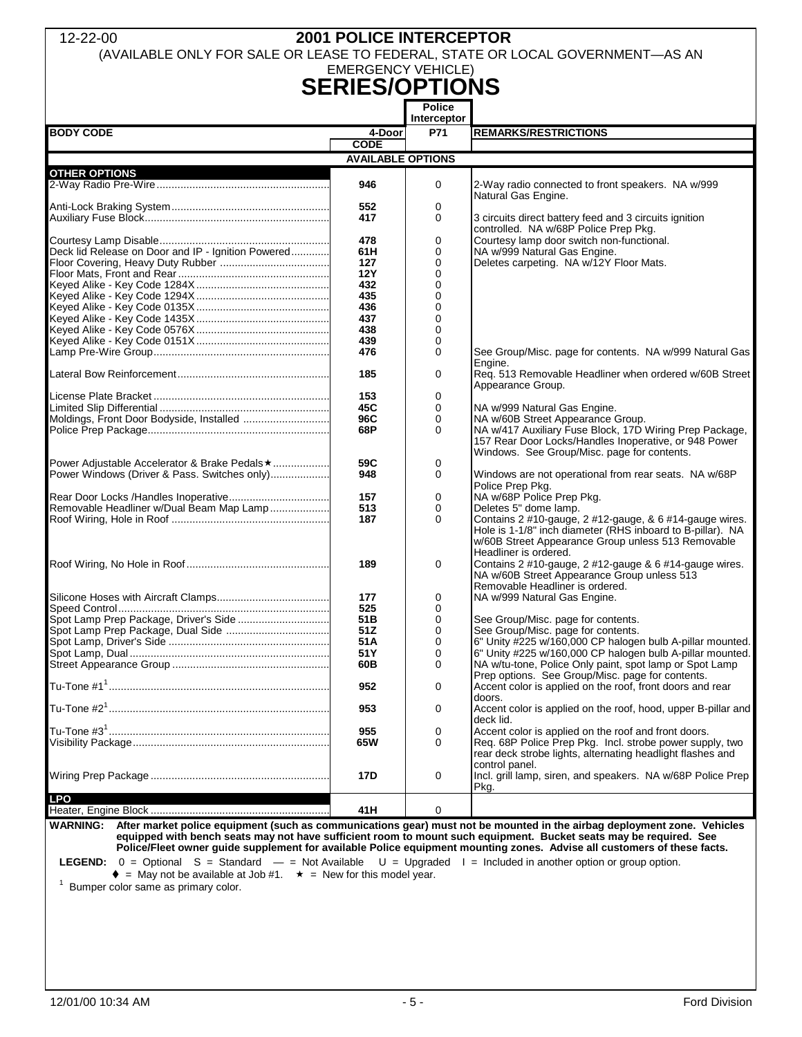### 12-22-00 **2001 POLICE INTERCEPTOR**

(AVAILABLE ONLY FOR SALE OR LEASE TO FEDERAL, STATE OR LOCAL GOVERNMENT—AS AN

### EMERGENCY VEHICLE) **SERIES/OPTIONS**

|                                                    |                          | <b>Police</b><br>Interceptor |                                                                                                                                                                                                      |
|----------------------------------------------------|--------------------------|------------------------------|------------------------------------------------------------------------------------------------------------------------------------------------------------------------------------------------------|
| <b>BODY CODE</b>                                   | 4-Door                   | P71                          | <b>REMARKS/RESTRICTIONS</b>                                                                                                                                                                          |
|                                                    | <b>CODE</b>              |                              |                                                                                                                                                                                                      |
|                                                    | <b>AVAILABLE OPTIONS</b> |                              |                                                                                                                                                                                                      |
| <b>OTHER OPTIONS</b>                               |                          |                              |                                                                                                                                                                                                      |
|                                                    | 946                      | 0                            | 2-Way radio connected to front speakers. NA w/999<br>Natural Gas Engine.                                                                                                                             |
|                                                    | 552                      | 0                            |                                                                                                                                                                                                      |
|                                                    | 417                      | $\Omega$                     | 3 circuits direct battery feed and 3 circuits ignition<br>controlled. NA w/68P Police Prep Pkg.                                                                                                      |
|                                                    | 478                      | 0                            | Courtesy lamp door switch non-functional.                                                                                                                                                            |
| Deck lid Release on Door and IP - Ignition Powered | 61H                      | 0                            | NA w/999 Natural Gas Engine.                                                                                                                                                                         |
|                                                    | 127                      | $\Omega$                     | Deletes carpeting. NA w/12Y Floor Mats.                                                                                                                                                              |
|                                                    | <b>12Y</b>               | 0                            |                                                                                                                                                                                                      |
|                                                    | 432                      | 0                            |                                                                                                                                                                                                      |
|                                                    | 435                      | 0                            |                                                                                                                                                                                                      |
|                                                    | 436                      | 0                            |                                                                                                                                                                                                      |
|                                                    | 437                      | $\mathbf 0$                  |                                                                                                                                                                                                      |
|                                                    | 438                      | $\mathbf 0$                  |                                                                                                                                                                                                      |
|                                                    | 439                      | 0                            |                                                                                                                                                                                                      |
|                                                    | 476                      | $\mathbf 0$                  | See Group/Misc. page for contents. NA w/999 Natural Gas                                                                                                                                              |
|                                                    |                          |                              | Engine.                                                                                                                                                                                              |
|                                                    | 185                      | 0                            | Req. 513 Removable Headliner when ordered w/60B Street<br>Appearance Group.                                                                                                                          |
|                                                    | 153                      | 0                            |                                                                                                                                                                                                      |
|                                                    | 45C                      | 0                            | NA w/999 Natural Gas Engine.                                                                                                                                                                         |
| Moldings, Front Door Bodyside, Installed           | 96C                      | 0                            | NA w/60B Street Appearance Group.                                                                                                                                                                    |
|                                                    | 68P                      | $\Omega$                     | NA w/417 Auxiliary Fuse Block, 17D Wiring Prep Package,<br>157 Rear Door Locks/Handles Inoperative, or 948 Power<br>Windows. See Group/Misc. page for contents.                                      |
| Power Adjustable Accelerator & Brake Pedals ★      | 59C                      | 0                            |                                                                                                                                                                                                      |
| Power Windows (Driver & Pass. Switches only)       | 948                      | $\Omega$                     | Windows are not operational from rear seats. NA w/68P<br>Police Prep Pkg.                                                                                                                            |
|                                                    | 157                      | 0                            | NA w/68P Police Prep Pkg.                                                                                                                                                                            |
| Removable Headliner w/Dual Beam Map Lamp           | 513                      | 0                            | Deletes 5" dome lamp.                                                                                                                                                                                |
|                                                    | 187                      | 0                            | Contains 2 #10-gauge, 2 #12-gauge, & 6 #14-gauge wires.<br>Hole is 1-1/8" inch diameter (RHS inboard to B-pillar). NA<br>w/60B Street Appearance Group unless 513 Removable<br>Headliner is ordered. |
|                                                    | 189                      | 0                            | Contains 2 #10-gauge, 2 #12-gauge & 6 #14-gauge wires.<br>NA w/60B Street Appearance Group unless 513<br>Removable Headliner is ordered.                                                             |
|                                                    | 177                      | 0                            | NA w/999 Natural Gas Engine.                                                                                                                                                                         |
|                                                    | 525                      | $\Omega$                     |                                                                                                                                                                                                      |
| Spot Lamp Prep Package, Driver's Side              | 51 <sub>B</sub>          | $\mathbf 0$                  | See Group/Misc. page for contents.                                                                                                                                                                   |
|                                                    | 51Z                      | 0                            | See Group/Misc. page for contents.                                                                                                                                                                   |
|                                                    | 51A                      | 0                            | 6" Unity #225 w/160,000 CP halogen bulb A-pillar mounted.                                                                                                                                            |
|                                                    | 51 Y                     | 0                            | 6" Unity #225 w/160,000 CP halogen bulb A-pillar mounted.                                                                                                                                            |
|                                                    | 60B                      | $\Omega$                     | NA w/tu-tone, Police Only paint, spot lamp or Spot Lamp<br>Prep options. See Group/Misc. page for contents.                                                                                          |
|                                                    | 952                      | 0                            | Accent color is applied on the roof, front doors and rear                                                                                                                                            |
|                                                    | 953                      | 0                            | doors.<br>Accent color is applied on the roof, hood, upper B-pillar and<br>deck lid.                                                                                                                 |
|                                                    | 955                      | 0                            | Accent color is applied on the roof and front doors.                                                                                                                                                 |
|                                                    | 65W                      | $\Omega$                     | Req. 68P Police Prep Pkg. Incl. strobe power supply, two<br>rear deck strobe lights, alternating headlight flashes and<br>control panel.                                                             |
|                                                    | 17D                      | 0                            | Incl. grill lamp, siren, and speakers. NA w/68P Police Prep<br>Pkg.                                                                                                                                  |
| LPO                                                | 41H                      | 0                            |                                                                                                                                                                                                      |

**WARNING: After market police equipment (such as communications gear) must not be mounted in the airbag deployment zone. Vehicles equipped with bench seats may not have sufficient room to mount such equipment. Bucket seats may be required. See Police/Fleet owner guide supplement for available Police equipment mounting zones. Advise all customers of these facts.** 

**LEGEND:** 0 = Optional S = Standard — = Not Available U = Upgraded I = Included in another option or group option.

 $\bullet$  = May not be available at Job #1.  $\star$  = New for this model year.  $1$  Bumper color same as primary color.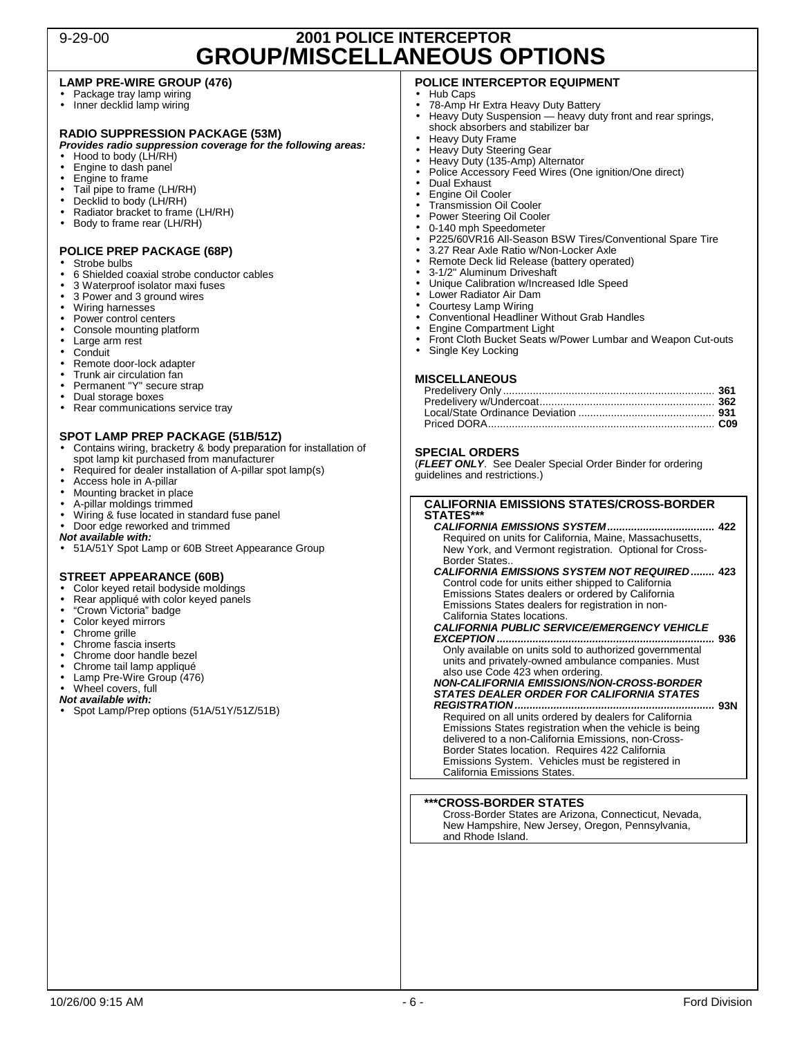### 9-29-00 **2001 POLICE INTERCEPTOR GROUP/MISCELLANEOUS OPTIONS**

#### **LAMP PRE-WIRE GROUP (476)**

- Package tray lamp wiring
- Inner decklid lamp wiring

#### **RADIO SUPPRESSION PACKAGE (53M)**

**Provides radio suppression coverage for the following areas:**

- Hood to body (LH/RH)
- Engine to dash panel
- Engine to frame
- Tail pipe to frame (LH/RH)<br>• Decklid to body (LH/RH) Decklid to body (LH/RH)
- 
- Radiator bracket to frame (LH/RH)<br>• Body to frame rear (LH/RH) • Body to frame rear (LH/RH)

#### **POLICE PREP PACKAGE (68P)**

- Strobe bulbs
- 6 Shielded coaxial strobe conductor cables<br>• 3 Waterproof isolator maxi fuses
- 3 Waterproof isolator maxi fuses
- 3 Power and 3 ground wires
- Wiring harnesses
- Power control centers
- Console mounting platform<br>• Large arm rest
- Large arm rest
- Conduit
- Remote door-lock adapter
- Trunk air circulation fan
- Permanent "Y" secure strap
- Dual storage boxes<br>• Rear communication
- Rear communications service tray

#### **SPOT LAMP PREP PACKAGE (51B/51Z)**

- Contains wiring, bracketry & body preparation for installation of spot lamp kit purchased from manufacturer
- Required for dealer installation of A-pillar spot lamp(s)
- Access hole in A-pillar
- Mounting bracket in place
- A-pillar moldings trimmed
- Wiring & fuse located in standard fuse panel
- Door edge reworked and trimmed
- **Not available with:**
- 51A/51Y Spot Lamp or 60B Street Appearance Group

#### **STREET APPEARANCE (60B)**

- Color keyed retail bodyside moldings
- Rear appliqué with color keyed panels
- "Crown Victoria" badge
- Color keyed mirrors
- Chrome grille
- Chrome fascia inserts
- Chrome door handle bezel<br>• Chrome tail lamp appliqué
- Chrome tail lamp appliqué
- Lamp Pre-Wire Group (476)
- Wheel covers, full

**Not available with:** 

• Spot Lamp/Prep options (51A/51Y/51Z/51B)

### **POLICE INTERCEPTOR EQUIPMENT**

- Hub Caps
- 78-Amp Hr Extra Heavy Duty Battery<br>• Heavy Duty Suspension heavy duty
- Heavy Duty Suspension heavy duty front and rear springs, shock absorbers and stabilizer bar
- Heavy Duty Frame
- Heavy Duty Steering Gear
- Heavy Duty (135-Amp) Alternator
- Police Accessory Feed Wires (One ignition/One direct)
- Dual Exhaust
- Engine Oil Cooler
- Transmission Oil Cooler
- Power Steering Oil Cooler
- 0-140 mph Speedometer
- P225/60VR16 All-Season BSW Tires/Conventional Spare Tire
- 3.27 Rear Axle Ratio w/Non-Locker Axle
- Remote Deck lid Release (battery operated)
- 3-1/2" Aluminum Driveshaft
- Unique Calibration w/Increased Idle Speed
- Lower Radiator Air Dam
- Courtesy Lamp Wiring • Conventional Headliner Without Grab Handles
- Engine Compartment Light
- Front Cloth Bucket Seats w/Power Lumbar and Weapon Cut-outs
- Single Key Locking

#### **MISCELLANEOUS**

#### **SPECIAL ORDERS**

(**FLEET ONLY**. See Dealer Special Order Binder for ordering guidelines and restrictions.)

#### **CALIFORNIA EMISSIONS STATES/CROSS-BORDER**  STATES\*

**CALIFORNIA EMISSIONS SYSTEM.................................... 422**  Required on units for California, Maine, Massachusetts, New York, and Vermont registration. Optional for Cross-Border States..

**CALIFORNIA EMISSIONS SYSTEM NOT REQUIRED ........ 423**  Control code for units either shipped to California Emissions States dealers or ordered by California Emissions States dealers for registration in non-California States locations.

**CALIFORNIA PUBLIC SERVICE/EMERGENCY VEHICLE** 

**EXCEPTION ......................................................................... 936**  Only available on units sold to authorized governmental units and privately-owned ambulance companies. Must also use Code 423 when ordering.

### **NON-CALIFORNIA EMISSIONS/NON-CROSS-BORDER STATES DEALER ORDER FOR CALIFORNIA STATES**

**REGISTRATION ................................................................... 93N**  Required on all units ordered by dealers for California Emissions States registration when the vehicle is being delivered to a non-California Emissions, non-Cross-Border States location. Requires 422 California Emissions System. Vehicles must be registered in California Emissions States.

#### **\*\*\*CROSS-BORDER STATES**

Cross-Border States are Arizona, Connecticut, Nevada, New Hampshire, New Jersey, Oregon, Pennsylvania, and Rhode Island.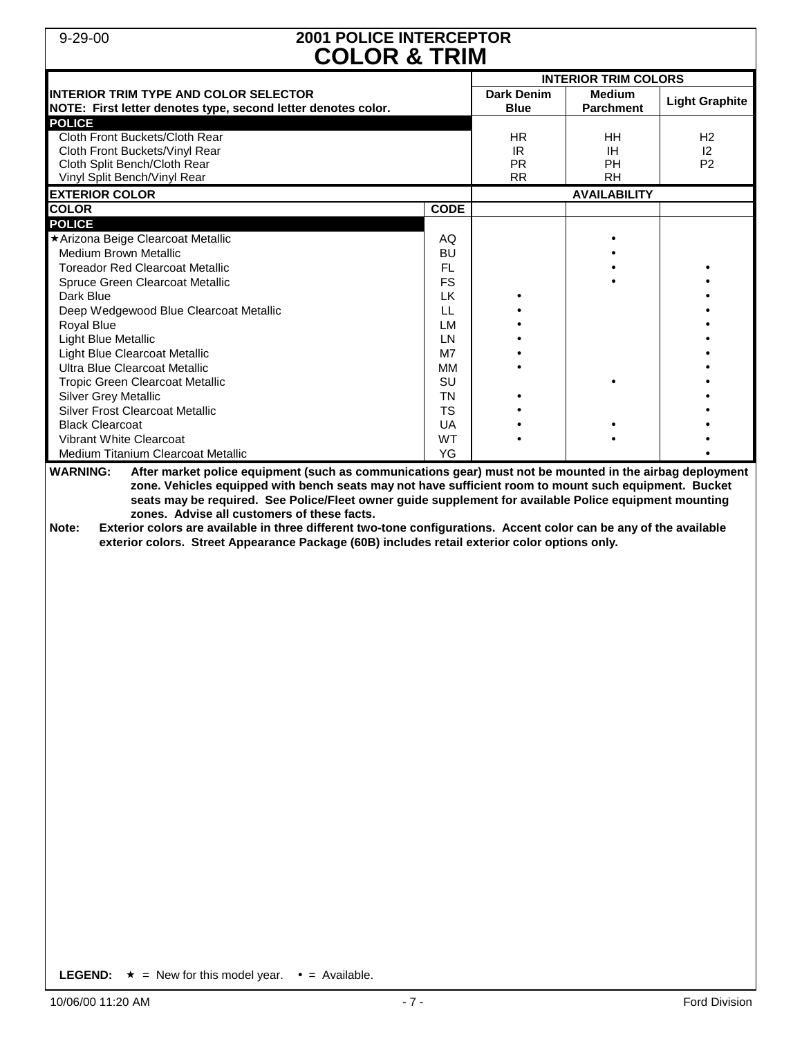### 9-29-00 **2001 POLICE INTERCEPTOR COLOR & TRIM**

| <b>COLOR &amp; IRIM</b>                                                                                                                                                                                                                                                                                                                                                                                                                                                                                                                                                                                                       |             |                                  |                                   |                       |  |  |  |
|-------------------------------------------------------------------------------------------------------------------------------------------------------------------------------------------------------------------------------------------------------------------------------------------------------------------------------------------------------------------------------------------------------------------------------------------------------------------------------------------------------------------------------------------------------------------------------------------------------------------------------|-------------|----------------------------------|-----------------------------------|-----------------------|--|--|--|
|                                                                                                                                                                                                                                                                                                                                                                                                                                                                                                                                                                                                                               |             | <b>INTERIOR TRIM COLORS</b>      |                                   |                       |  |  |  |
| <b>INTERIOR TRIM TYPE AND COLOR SELECTOR</b><br>NOTE: First letter denotes type, second letter denotes color.                                                                                                                                                                                                                                                                                                                                                                                                                                                                                                                 |             | <b>Dark Denim</b><br><b>Blue</b> | <b>Medium</b><br><b>Parchment</b> | <b>Light Graphite</b> |  |  |  |
| <b>POLICE</b>                                                                                                                                                                                                                                                                                                                                                                                                                                                                                                                                                                                                                 |             |                                  |                                   |                       |  |  |  |
| Cloth Front Buckets/Cloth Rear                                                                                                                                                                                                                                                                                                                                                                                                                                                                                                                                                                                                |             | HR.                              | HH                                | H <sub>2</sub>        |  |  |  |
| Cloth Front Buckets/Vinyl Rear                                                                                                                                                                                                                                                                                                                                                                                                                                                                                                                                                                                                |             | IR                               | IH.                               | 12                    |  |  |  |
| Cloth Split Bench/Cloth Rear                                                                                                                                                                                                                                                                                                                                                                                                                                                                                                                                                                                                  |             | <b>PR</b>                        | PH                                | P <sub>2</sub>        |  |  |  |
| Vinyl Split Bench/Vinyl Rear                                                                                                                                                                                                                                                                                                                                                                                                                                                                                                                                                                                                  |             | <b>RR</b>                        | <b>RH</b>                         |                       |  |  |  |
| <b>EXTERIOR COLOR</b>                                                                                                                                                                                                                                                                                                                                                                                                                                                                                                                                                                                                         |             |                                  | <b>AVAILABILITY</b>               |                       |  |  |  |
| <b>COLOR</b>                                                                                                                                                                                                                                                                                                                                                                                                                                                                                                                                                                                                                  | <b>CODE</b> |                                  |                                   |                       |  |  |  |
| <b>POLICE</b>                                                                                                                                                                                                                                                                                                                                                                                                                                                                                                                                                                                                                 |             |                                  |                                   |                       |  |  |  |
| ★ Arizona Beige Clearcoat Metallic                                                                                                                                                                                                                                                                                                                                                                                                                                                                                                                                                                                            | AQ          |                                  |                                   |                       |  |  |  |
| <b>Medium Brown Metallic</b>                                                                                                                                                                                                                                                                                                                                                                                                                                                                                                                                                                                                  | BU          |                                  |                                   |                       |  |  |  |
| <b>Toreador Red Clearcoat Metallic</b>                                                                                                                                                                                                                                                                                                                                                                                                                                                                                                                                                                                        | FL          |                                  |                                   |                       |  |  |  |
| Spruce Green Clearcoat Metallic                                                                                                                                                                                                                                                                                                                                                                                                                                                                                                                                                                                               | <b>FS</b>   |                                  |                                   |                       |  |  |  |
| Dark Blue                                                                                                                                                                                                                                                                                                                                                                                                                                                                                                                                                                                                                     | LK.         |                                  |                                   |                       |  |  |  |
| Deep Wedgewood Blue Clearcoat Metallic                                                                                                                                                                                                                                                                                                                                                                                                                                                                                                                                                                                        | LL          |                                  |                                   |                       |  |  |  |
| Royal Blue                                                                                                                                                                                                                                                                                                                                                                                                                                                                                                                                                                                                                    | LM          |                                  |                                   |                       |  |  |  |
| Light Blue Metallic                                                                                                                                                                                                                                                                                                                                                                                                                                                                                                                                                                                                           | <b>LN</b>   |                                  |                                   |                       |  |  |  |
| Light Blue Clearcoat Metallic                                                                                                                                                                                                                                                                                                                                                                                                                                                                                                                                                                                                 | M7          |                                  |                                   |                       |  |  |  |
| Ultra Blue Clearcoat Metallic                                                                                                                                                                                                                                                                                                                                                                                                                                                                                                                                                                                                 | MМ          |                                  |                                   |                       |  |  |  |
| <b>Tropic Green Clearcoat Metallic</b>                                                                                                                                                                                                                                                                                                                                                                                                                                                                                                                                                                                        | SU          |                                  |                                   |                       |  |  |  |
| Silver Grey Metallic                                                                                                                                                                                                                                                                                                                                                                                                                                                                                                                                                                                                          | <b>TN</b>   |                                  |                                   |                       |  |  |  |
| <b>Silver Frost Clearcoat Metallic</b>                                                                                                                                                                                                                                                                                                                                                                                                                                                                                                                                                                                        | <b>TS</b>   |                                  |                                   |                       |  |  |  |
| <b>Black Clearcoat</b>                                                                                                                                                                                                                                                                                                                                                                                                                                                                                                                                                                                                        | UA          |                                  |                                   |                       |  |  |  |
| <b>Vibrant White Clearcoat</b>                                                                                                                                                                                                                                                                                                                                                                                                                                                                                                                                                                                                | WT          |                                  |                                   |                       |  |  |  |
| Medium Titanium Clearcoat Metallic                                                                                                                                                                                                                                                                                                                                                                                                                                                                                                                                                                                            | YG          |                                  |                                   |                       |  |  |  |
| <b>WARNING:</b><br>After market police equipment (such as communications gear) must not be mounted in the airbag deployment<br>zone. Vehicles equipped with bench seats may not have sufficient room to mount such equipment. Bucket<br>seats may be required. See Police/Fleet owner guide supplement for available Police equipment mounting<br>zones. Advise all customers of these facts.<br>Exterior colors are available in three different two-tone configurations. Accent color can be any of the available<br>Note:<br>exterior colors. Street Appearance Package (60B) includes retail exterior color options only. |             |                                  |                                   |                       |  |  |  |

**LEGEND:**  $\star$  = New for this model year.  $\bullet$  = Available.